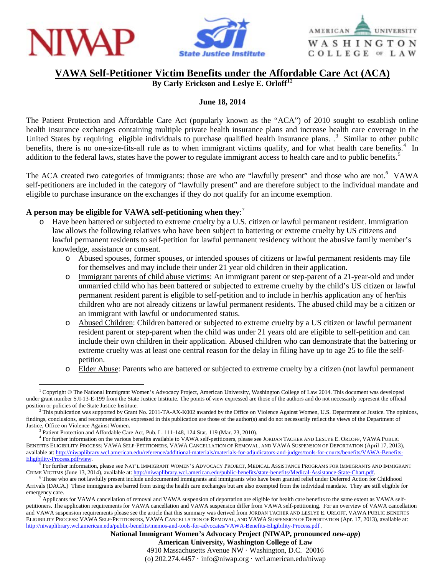





## **VAWA Self-Petitioner Victim Benefits under the Affordable Care Act (ACA)**

**By Carly Erickson and Leslye E. Orloff[1](#page-0-0)[2](#page-0-1)**

## **June 18, 2014**

The Patient Protection and Affordable Care Act (popularly known as the "ACA") of 2010 sought to establish online health insurance exchanges containing multiple private health insurance plans and increase health care coverage in the United States by requiring eligible individuals to purchase qualified health insurance plans. <sup>[3](#page-0-2)</sup> Similar to other public benefits, there is no one-size-fits-all rule as to when immigrant victims qualify, and for what health care benefits.<sup>[4](#page-0-3)</sup> In addition to the federal laws, states have the power to regulate immigrant access to health care and to public benefits.<sup>[5](#page-0-4)</sup>

The ACA created two categories of immigrants: those are who are "lawfully present" and those who are not.<sup>[6](#page-0-5)</sup> VAWA self-petitioners are included in the category of "lawfully present" and are therefore subject to the individual mandate and eligible to purchase insurance on the exchanges if they do not qualify for an income exemption.

## **A person may be eligible for VAWA self-petitioning when they**: [7](#page-0-6)

- Have been battered or subjected to extreme cruelty by a U.S. citizen or lawful permanent resident. Immigration law allows the following relatives who have been subject to battering or extreme cruelty by US citizens and lawful permanent residents to self-petition for lawful permanent residency without the abusive family member's knowledge, assistance or consent.
	- o Abused spouses, former spouses, or intended spouses of citizens or lawful permanent residents may file for themselves and may include their under 21 year old children in their application.
	- o Immigrant parents of child abuse victims: An immigrant parent or step-parent of a 21-year-old and under unmarried child who has been battered or subjected to extreme cruelty by the child's US citizen or lawful permanent resident parent is eligible to self-petition and to include in her/his application any of her/his children who are not already citizens or lawful permanent residents. The abused child may be a citizen or an immigrant with lawful or undocumented status.
	- o Abused Children: Children battered or subjected to extreme cruelty by a US citizen or lawful permanent resident parent or step-parent when the child was under 21 years old are eligible to self-petition and can include their own children in their application. Abused children who can demonstrate that the battering or extreme cruelty was at least one central reason for the delay in filing have up to age 25 to file the selfpetition.
	- o Elder Abuse: Parents who are battered or subjected to extreme cruelty by a citizen (not lawful permanent

**National Immigrant Women's Advocacy Project (NIWAP, pronounced** *new-app***)**

**American University, Washington College of Law**

4910 Massachusetts Avenue NW · Washington, D.C. 20016 (o) 202.274.4457 · info@niwap.org · wcl.american.edu/niwap

<span id="page-0-0"></span> <sup>1</sup> Copyright © The National Immigrant Women's Advocacy Project, American University, Washington College of Law 2014. This document was developed under grant number SJI-13-E-199 from the State Justice Institute. The points of view expressed are those of the authors and do not necessarily represent the official position or policies of the State Justice Institute.

<span id="page-0-1"></span><sup>&</sup>lt;sup>2</sup> This publication was supported by Grant No. 2011-TA-AX-K002 awarded by the Office on Violence Against Women, U.S. Department of Justice. The opinions, findings, conclusions, and recommendations expressed in this publication are those of the author(s) and do not necessarily reflect the views of the Department of Justice, Office on Violence Against Women.<br><sup>3</sup> Patient Protection and Affordable Care Act, Pub. L. 111-148, 124 Stat. 119 (Mar. 23, 2010).

<span id="page-0-3"></span><span id="page-0-2"></span><sup>&</sup>lt;sup>4</sup> For further information on the various benefits available to VAWA self-petitioners, please see JORDAN TACHER AND LESLYE E. ORLOFF, VAWA PUBLIC BENEFITS ELIGIBILITY PROCESS: VAWA SELF-PETITIONERS, VAWA CANCELLATION OF REMOVAL, AND VAWA SUSPENSION OF DEPORTATION (April 17, 2013), available at: [http://niwaplibrary.wcl.american.edu/reference/additional-materials/materials-for-adjudicators-and-judges/tools-for-courts/benefits/VAWA-Benefits-](http://niwaplibrary.wcl.american.edu/reference/additional-materials/materials-for-adjudicators-and-judges/tools-for-courts/benefits/VAWA-Benefits-Eligibility-Process.pdf/view)[Eligibility-Process.pdf/view.](http://niwaplibrary.wcl.american.edu/reference/additional-materials/materials-for-adjudicators-and-judges/tools-for-courts/benefits/VAWA-Benefits-Eligibility-Process.pdf/view)

<span id="page-0-4"></span><sup>&</sup>lt;sup>5</sup> For further information, please see NAT'L IMMIGRANT WOMEN'S ADVOCACY PROJECT, MEDICAL ASSISTANCE PROGRAMS FOR IMMIGRANTS AND IMMIGRANT CRIME VICTIMS (June 13, 2014), available at: http://niwaplibrary.wcl.american.edu/p

<span id="page-0-5"></span><sup>&</sup>lt;sup>6</sup> Those who are not lawfully present include undocumented immigrants and immigrants who have been granted relief under Deferred Action for Childhood Arrivals (DACA.) These immigrants are barred from using the health care exchanges but are also exempted from the individual mandate. They are still eligible for

<span id="page-0-6"></span>Applicants for VAWA cancellation of removal and VAWA suspension of deportation are eligible for health care benefits to the same extent as VAWA selfpetitioners. The application requirements for VAWA cancellation and VAWA suspension differ from VAWA self-petitioning. For an overview of VAWA cancellation and VAWA suspension requirements please see the article that this summary was derived from JORDAN TACHER AND LESLYE E. ORLOFF, VAWA PUBLIC BENEFITS ELIGIBILITY PROCESS: VAWA SELF-PETITIONERS, VAWA CANCELLATION OF REMOVAL, AND VAWA SUSPENSION OF DEPORTATION (Apr. 17, 2013), available at: <http://niwaplibrary.wcl.american.edu/public-benefits/memos-and-tools-for-advocates/VAWA-Benefits-Eligibility-Process.pdf> .